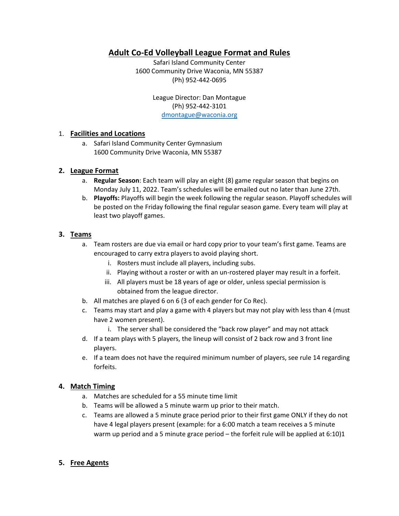# **Adult Co-Ed Volleyball League Format and Rules**

Safari Island Community Center 1600 Community Drive Waconia, MN 55387 (Ph) 952-442-0695

> League Director: Dan Montague (Ph) 952-442-3101 [dmontague@waconia.org](mailto:dmontague@waconia.org)

#### 1. **Facilities and Locations**

a. Safari Island Community Center Gymnasium 1600 Community Drive Waconia, MN 55387

#### **2. League Format**

- a. **Regular Season**: Each team will play an eight (8) game regular season that begins on Monday July 11, 2022. Team's schedules will be emailed out no later than June 27th.
- b. **Playoffs:** Playoffs will begin the week following the regular season. Playoff schedules will be posted on the Friday following the final regular season game. Every team will play at least two playoff games.

#### **3. Teams**

- a. Team rosters are due via email or hard copy prior to your team's first game. Teams are encouraged to carry extra players to avoid playing short.
	- i. Rosters must include all players, including subs.
	- ii. Playing without a roster or with an un-rostered player may result in a forfeit.
	- iii. All players must be 18 years of age or older, unless special permission is obtained from the league director.
- b. All matches are played 6 on 6 (3 of each gender for Co Rec).
- c. Teams may start and play a game with 4 players but may not play with less than 4 (must have 2 women present).
	- i. The server shall be considered the "back row player" and may not attack
- d. If a team plays with 5 players, the lineup will consist of 2 back row and 3 front line players.
- e. If a team does not have the required minimum number of players, see rule 14 regarding forfeits.

#### **4. Match Timing**

- a. Matches are scheduled for a 55 minute time limit
- b. Teams will be allowed a 5 minute warm up prior to their match.
- c. Teams are allowed a 5 minute grace period prior to their first game ONLY if they do not have 4 legal players present (example: for a 6:00 match a team receives a 5 minute warm up period and a 5 minute grace period – the forfeit rule will be applied at 6:10)1

#### **5. Free Agents**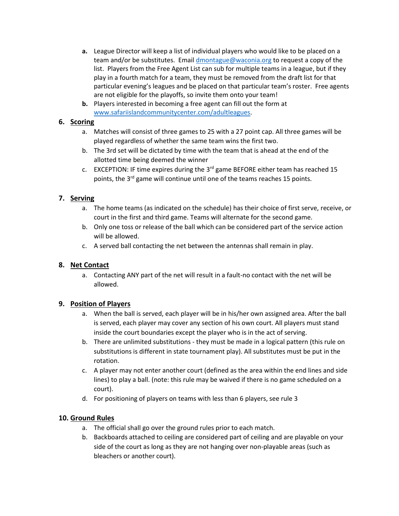- **a.** League Director will keep a list of individual players who would like to be placed on a team and/or be substitutes. Emai[l dmontague@waconia.org](mailto:dmontague@waconia.org) to request a copy of the list. Players from the Free Agent List can sub for multiple teams in a league, but if they play in a fourth match for a team, they must be removed from the draft list for that particular evening's leagues and be placed on that particular team's roster. Free agents are not eligible for the playoffs, so invite them onto your team!
- **b.** Players interested in becoming a free agent can fill out the form at [www.safariislandcommunitycenter.com/adultleagues.](http://www.safariislandcommunitycenter.com/adultleagues)

### **6. Scoring**

- a. Matches will consist of three games to 25 with a 27 point cap. All three games will be played regardless of whether the same team wins the first two.
- b. The 3rd set will be dictated by time with the team that is ahead at the end of the allotted time being deemed the winner
- c. EXCEPTION: IF time expires during the  $3<sup>rd</sup>$  game BEFORE either team has reached 15 points, the 3<sup>rd</sup> game will continue until one of the teams reaches 15 points.

### **7. Serving**

- a. The home teams (as indicated on the schedule) has their choice of first serve, receive, or court in the first and third game. Teams will alternate for the second game.
- b. Only one toss or release of the ball which can be considered part of the service action will be allowed.
- c. A served ball contacting the net between the antennas shall remain in play.

### **8. Net Contact**

a. Contacting ANY part of the net will result in a fault-no contact with the net will be allowed.

### **9. Position of Players**

- a. When the ball is served, each player will be in his/her own assigned area. After the ball is served, each player may cover any section of his own court. All players must stand inside the court boundaries except the player who is in the act of serving.
- b. There are unlimited substitutions they must be made in a logical pattern (this rule on substitutions is different in state tournament play). All substitutes must be put in the rotation.
- c. A player may not enter another court (defined as the area within the end lines and side lines) to play a ball. (note: this rule may be waived if there is no game scheduled on a court).
- d. For positioning of players on teams with less than 6 players, see rule 3

## **10. Ground Rules**

- a. The official shall go over the ground rules prior to each match.
- b. Backboards attached to ceiling are considered part of ceiling and are playable on your side of the court as long as they are not hanging over non-playable areas (such as bleachers or another court).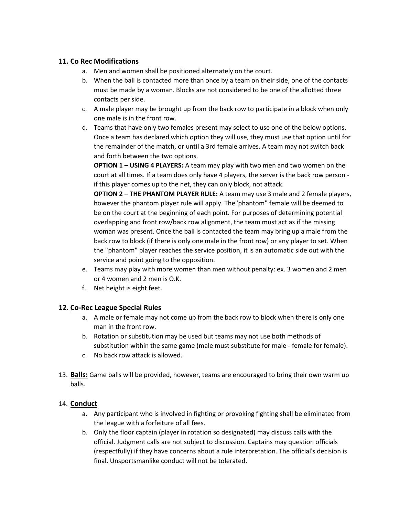### **11. Co Rec Modifications**

- a. Men and women shall be positioned alternately on the court.
- b. When the ball is contacted more than once by a team on their side, one of the contacts must be made by a woman. Blocks are not considered to be one of the allotted three contacts per side.
- c. A male player may be brought up from the back row to participate in a block when only one male is in the front row.
- d. Teams that have only two females present may select to use one of the below options. Once a team has declared which option they will use, they must use that option until for the remainder of the match, or until a 3rd female arrives. A team may not switch back and forth between the two options.

**OPTION 1 – USING 4 PLAYERS:** A team may play with two men and two women on the court at all times. If a team does only have 4 players, the server is the back row person if this player comes up to the net, they can only block, not attack.

**OPTION 2 – THE PHANTOM PLAYER RULE:** A team may use 3 male and 2 female players, however the phantom player rule will apply. The"phantom" female will be deemed to be on the court at the beginning of each point. For purposes of determining potential overlapping and front row/back row alignment, the team must act as if the missing woman was present. Once the ball is contacted the team may bring up a male from the back row to block (if there is only one male in the front row) or any player to set. When the "phantom" player reaches the service position, it is an automatic side out with the service and point going to the opposition.

- e. Teams may play with more women than men without penalty: ex. 3 women and 2 men or 4 women and 2 men is O.K.
- f. Net height is eight feet.

#### **12. Co-Rec League Special Rules**

- a. A male or female may not come up from the back row to block when there is only one man in the front row.
- b. Rotation or substitution may be used but teams may not use both methods of substitution within the same game (male must substitute for male - female for female).
- c. No back row attack is allowed.
- 13. **Balls:** Game balls will be provided, however, teams are encouraged to bring their own warm up balls.

#### 14. **Conduct**

- a. Any participant who is involved in fighting or provoking fighting shall be eliminated from the league with a forfeiture of all fees.
- b. Only the floor captain (player in rotation so designated) may discuss calls with the official. Judgment calls are not subject to discussion. Captains may question officials (respectfully) if they have concerns about a rule interpretation. The official's decision is final. Unsportsmanlike conduct will not be tolerated.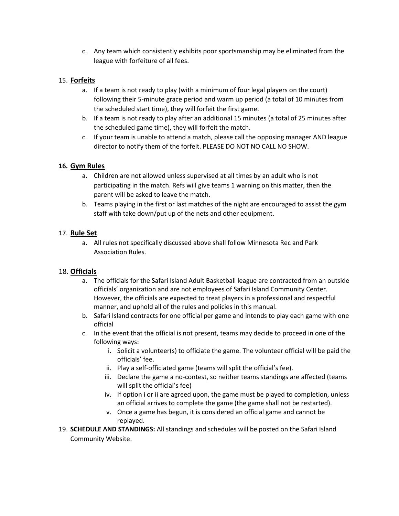c. Any team which consistently exhibits poor sportsmanship may be eliminated from the league with forfeiture of all fees.

### 15. **Forfeits**

- a. If a team is not ready to play (with a minimum of four legal players on the court) following their 5-minute grace period and warm up period (a total of 10 minutes from the scheduled start time), they will forfeit the first game.
- b. If a team is not ready to play after an additional 15 minutes (a total of 25 minutes after the scheduled game time), they will forfeit the match.
- c. If your team is unable to attend a match, please call the opposing manager AND league director to notify them of the forfeit. PLEASE DO NOT NO CALL NO SHOW.

### **16. Gym Rules**

- a. Children are not allowed unless supervised at all times by an adult who is not participating in the match. Refs will give teams 1 warning on this matter, then the parent will be asked to leave the match.
- b. Teams playing in the first or last matches of the night are encouraged to assist the gym staff with take down/put up of the nets and other equipment.

### 17. **Rule Set**

a. All rules not specifically discussed above shall follow Minnesota Rec and Park Association Rules.

#### 18. **Officials**

- a. The officials for the Safari Island Adult Basketball league are contracted from an outside officials' organization and are not employees of Safari Island Community Center. However, the officials are expected to treat players in a professional and respectful manner, and uphold all of the rules and policies in this manual.
- b. Safari Island contracts for one official per game and intends to play each game with one official
- c. In the event that the official is not present, teams may decide to proceed in one of the following ways:
	- i. Solicit a volunteer(s) to officiate the game. The volunteer official will be paid the officials' fee.
	- ii. Play a self-officiated game (teams will split the official's fee).
	- iii. Declare the game a no-contest, so neither teams standings are affected (teams will split the official's fee)
	- iv. If option i or ii are agreed upon, the game must be played to completion, unless an official arrives to complete the game (the game shall not be restarted).
	- v. Once a game has begun, it is considered an official game and cannot be replayed.
- 19. **SCHEDULE AND STANDINGS:** All standings and schedules will be posted on the Safari Island Community Website.